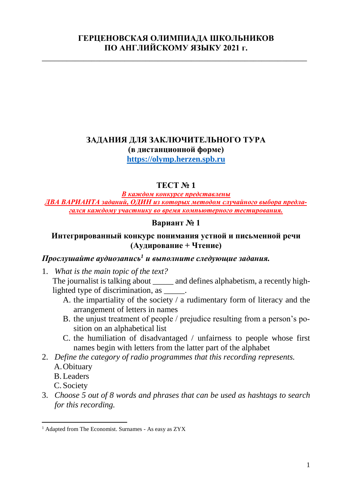#### **ГЕРЦЕНОВСКАЯ ОЛИМПИАДА ШКОЛЬНИКОВ ПО АНГЛИЙСКОМУ ЯЗЫКУ 2021 г.**

\_\_\_\_\_\_\_\_\_\_\_\_\_\_\_\_\_\_\_\_\_\_\_\_\_\_\_\_\_\_\_\_\_\_\_\_\_\_\_\_\_\_\_\_\_\_\_\_\_\_\_\_\_\_\_\_\_\_\_\_\_\_\_\_

# **ЗАДАНИЯ ДЛЯ ЗАКЛЮЧИТЕЛЬНОГО ТУРА (в дистанционной форме)**

**[https://olymp.herzen.spb.ru](https://olymp.herzen.spb.ru/)**

## **ТЕСТ № 1**

*В каждом конкурсе представлены ДВА ВАРИАНТА заданий, ОДИН из которых методом случайного выбора предлагался каждому участнику во время компьютерного тестирования.*

#### **Вариант № 1**

#### **Интегрированный конкурс понимания устной и письменной речи (Аудирование + Чтение)**

# *Прослушайте аудиозапись<sup>1</sup> и выполните следующие задания.*

- 1. *What is the main topic of the text?* The journalist is talking about \_\_\_\_\_ and defines alphabetism, a recently highlighted type of discrimination, as \_\_\_\_\_.
	- A. the impartiality of the society / a rudimentary form of literacy and the arrangement of letters in names
	- B. the unjust treatment of people / prejudice resulting from a person's position on an alphabetical list
	- C. the humiliation of disadvantaged / unfairness to people whose first names begin with letters from the latter part of the alphabet
- 2. *Define the category of radio programmes that this recording represents.*
	- A.Obituary
	- B.Leaders

C. Society

 $\overline{a}$ 

3. *Choose 5 out of 8 words and phrases that can be used as hashtags to search for this recording.*

<sup>&</sup>lt;sup>1</sup> Adapted from The Economist. Surnames - As easy as ZYX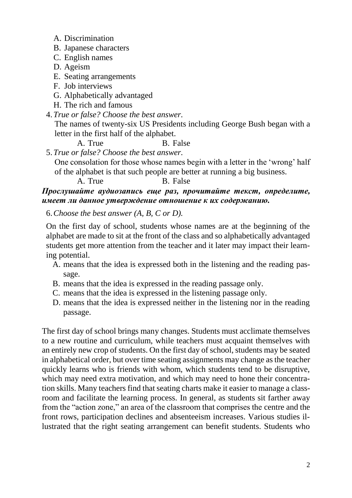- A. Discrimination
- B. Japanese characters
- C. English names
- D. Ageism
- E. Seating arrangements
- F. Job interviews
- G. Alphabetically advantaged
- H. The rich and famous
- 4.*True or false? Choose the best answer.*

The names of twenty-six US Presidents including George Bush began with a letter in the first half of the alphabet.

A. True B. False

5.*True or false? Choose the best answer.*

One consolation for those whose names begin with a letter in the 'wrong' half of the alphabet is that such people are better at running a big business.

A. True B. False

# *Прослушайте аудиозапись еще раз, прочитайте текст, определите, имеет ли данное утверждение отношение к их содержанию.*

6.*Choose the best answer (A, B, C or D).*

On the first day of school, students whose names are at the beginning of the alphabet are made to sit at the front of the class and so alphabetically advantaged students get more attention from the teacher and it later may impact their learning potential.

- A. means that the idea is expressed both in the listening and the reading passage.
- B. means that the idea is expressed in the reading passage only.
- C. means that the idea is expressed in the listening passage only.
- D. means that the idea is expressed neither in the listening nor in the reading passage.

The first day of school brings many changes. Students must acclimate themselves to a new routine and curriculum, while teachers must acquaint themselves with an entirely new crop of students. On the first day of school, students may be seated in alphabetical order, but over time seating assignments may change as the teacher quickly learns who is friends with whom, which students tend to be disruptive, which may need extra motivation, and which may need to hone their concentration skills. Many teachers find that seating charts make it easier to manage a classroom and facilitate the learning process. In general, as students sit farther away from the "action zone," an area of the classroom that comprises the centre and the front rows, participation declines and absenteeism increases. Various studies illustrated that the right seating arrangement can benefit students. Students who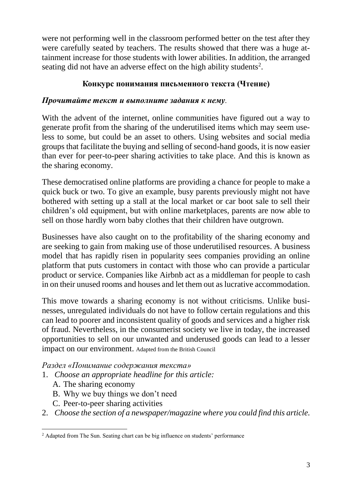were not performing well in the classroom performed better on the test after they were carefully seated by teachers. The results showed that there was a huge attainment increase for those students with lower abilities. In addition, the arranged seating did not have an adverse effect on the high ability students<sup>2</sup>.

# **Конкурс понимания письменного текста (Чтение)**

## *Прочитайте текст и выполните задания к нему.*

With the advent of the internet, online communities have figured out a way to generate profit from the sharing of the underutilised items which may seem useless to some, but could be an asset to others. Using websites and social media groups that facilitate the buying and selling of second-hand goods, it is now easier than ever for peer-to-peer sharing activities to take place. And this is known as the sharing economy.

These democratised online platforms are providing a chance for people to make a quick buck or two. To give an example, busy parents previously might not have bothered with setting up a stall at the local market or car boot sale to sell their children's old equipment, but with online marketplaces, parents are now able to sell on those hardly worn baby clothes that their children have outgrown.

Businesses have also caught on to the profitability of the sharing economy and are seeking to gain from making use of those underutilised resources. A business model that has rapidly risen in popularity sees companies providing an online platform that puts customers in contact with those who can provide a particular product or service. Companies like Airbnb act as a middleman for people to cash in on their unused rooms and houses and let them out as lucrative accommodation.

This move towards a sharing economy is not without criticisms. Unlike businesses, unregulated individuals do not have to follow certain regulations and this can lead to poorer and inconsistent quality of goods and services and a higher risk of fraud. Nevertheless, in the consumerist society we live in today, the increased opportunities to sell on our unwanted and underused goods can lead to a lesser impact on our environment. Adapted from the British Council

*Раздел «Понимание содержания текста»*

- 1. *Choose an appropriate headline for this article:*
	- A. The sharing economy
	- B. Why we buy things we don't need
	- C. Peer-to-peer sharing activities
- 2. *Choose the section of a newspaper/magazine where you could find this article.*

 $\overline{a}$ <sup>2</sup> Adapted from The Sun. Seating chart can be big influence on students' performance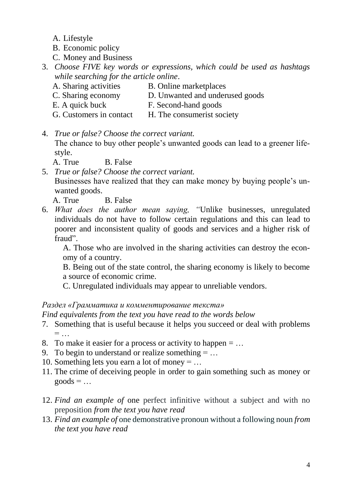- A. Lifestyle
- B. Economic policy
- C. Money and Business
- 3. *Choose FIVE key words or expressions, which could be used as hashtags while searching for the article online*.

B. Online marketplaces

F. Second-hand goods

- A. Sharing activities
- C. Sharing economy
	- D. Unwanted and underused goods
- E. A quick buck
- G. Customers in contact H. The consumerist society
- 4. *True or false? Choose the correct variant.*

The chance to buy other people's unwanted goods can lead to a greener lifestyle.

A. True B. False

5. *True or false? Choose the correct variant.* Businesses have realized that they can make money by buying people's unwanted goods.

A. True B. False

6. *What does the author mean saying, "*Unlike businesses, unregulated individuals do not have to follow certain regulations and this can lead to poorer and inconsistent quality of goods and services and a higher risk of fraud".

A. Those who are involved in the sharing activities can destroy the economy of a country.

B. Being out of the state control, the sharing economy is likely to become a source of economic crime.

C. Unregulated individuals may appear to unreliable vendors.

# *Раздел «Грамматика и комментирование текста»*

*Find equivalents from the text you have read to the words below*

- 7. Something that is [useful](https://www.ldoceonline.com/dictionary/useful) because it helps you [succeed](https://www.ldoceonline.com/dictionary/succeed) or deal with problems  $=$  ...
- 8. To make it easier for a process or activity to happen  $= \dots$
- 9. To begin to [understand](https://www.ldoceonline.com/dictionary/understand) or [realize](https://www.ldoceonline.com/dictionary/realize) something  $= \dots$
- 10. Something [lets](https://www.ldoceonline.com/dictionary/let) you [earn](https://www.ldoceonline.com/dictionary/earn) a [lot](https://www.ldoceonline.com/dictionary/lot#lot__7) of money  $= \dots$
- 11. The [crime](https://www.ldoceonline.com/dictionary/crime) of [deceiving](https://www.ldoceonline.com/dictionary/deceive) people in order to [gain](https://www.ldoceonline.com/dictionary/gain) something such as money or  $goods = ...$
- 12. *Find an example of* one perfect infinitive without a subject and with no preposition *from the text you have read*
- 13. *Find an example of* one demonstrative pronoun without a following noun *from the text you have read*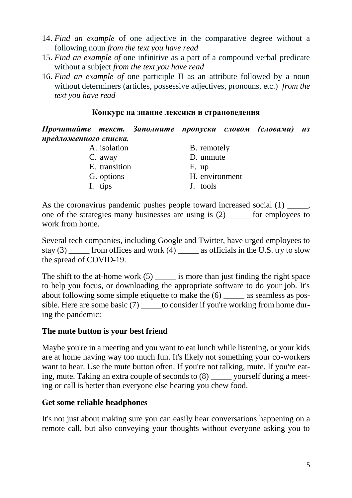- 14. *Find an example* of one adjective in the comparative degree without a following noun *from the text you have read*
- 15. *Find an example of* one infinitive as a part of a compound verbal predicate without a subject *from the text you have read*
- 16. *Find an example of* one participle II as an attribute followed by a noun without determiners (articles, possessive adjectives, pronouns, etc.) *from the text you have read*

#### **Конкурс на знание лексики и страноведения**

*Прочитайте текст. Заполните пропуски словом (словами) из предложенного списка.*

| H. environment |
|----------------|
|                |
|                |

As the coronavirus pandemic pushes people toward increased social (1)  $\qquad \qquad$ , one of the strategies many businesses are using is (2) \_\_\_\_\_ for employees to work from home.

Several tech companies, including Google and Twitter, have urged employees to stay  $(3)$  from offices and work  $(4)$  as officials in the U.S. try to slow the spread of COVID-19.

The shift to the at-home work  $(5)$  is more than just finding the right space to help you focus, or downloading the appropriate software to do your job. It's about following some simple etiquette to make the (6) as seamless as possible. Here are some basic (7) to consider if you're working from home during the pandemic:

# **The mute button is your best friend**

Maybe you're in a meeting and you want to eat lunch while listening, or your kids are at home having way too much fun. It's likely not something your co-workers want to hear. Use the mute button often. If you're not talking, mute. If you're eating, mute. Taking an extra couple of seconds to (8) \_\_\_\_\_ yourself during a meeting or call is better than everyone else hearing you chew food.

# **Get some reliable headphones**

It's not just about making sure you can easily hear conversations happening on a remote call, but also conveying your thoughts without everyone asking you to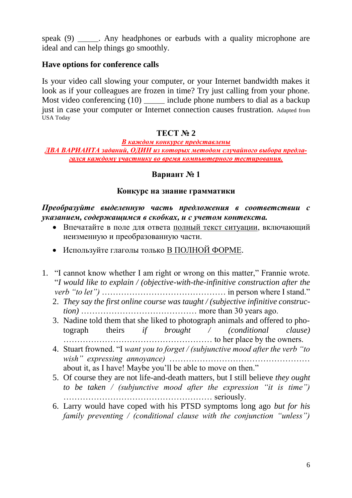speak (9) \_\_\_\_\_\_. Any headphones or earbuds with a quality microphone are ideal and can help things go smoothly.

#### **Have options for conference calls**

Is your video call slowing your computer, or your Internet bandwidth makes it look as if your colleagues are frozen in time? Try just calling from your phone. Most video conferencing (10) include phone numbers to dial as a backup just in case your computer or Internet connection causes frustration. Adapted from USA Today

## **ТЕСТ № 2**

## *В каждом конкурсе представлены*

#### *ДВА ВАРИАНТА заданий, ОДИН из которых методом случайного выбора предлагался каждому участнику во время компьютерного тестирования.*

#### **Вариант № 1**

#### **Конкурс на знание грамматики**

#### *Преобразуйте выделенную часть предложения в соответствии с указанием, содержащимся в скобках, и с учетом контекста.*

- Впечатайте в поле для ответа полный текст ситуации, включающий неизменную и преобразованную части.
- Используйте глаголы только В ПОЛНОЙ ФОРМЕ.
- 1. "I cannot know whether I am right or wrong on this matter," Frannie wrote. "*I would like to explain / (objective-with-the-infinitive construction after the verb "to let")* ……………………………………… in person where I stand."
	- 2. *They say the first online course was taught / (subjective infinitive construction)* …………………………………… more than 30 years ago.
	- 3. Nadine told them that she liked to photograph animals and offered to photograph theirs *if brought / (conditional clause)*  ……………………………………………… to her place by the owners.
	- 4. Stuart frowned. "I *want you to forget / (subjunctive mood after the verb "to wish" expressing annoyance)* …………………………………………… about it, as I have! Maybe you'll be able to move on then."
	- 5. Of course they are not life-and-death matters, but I still believe *they ought to be taken / (subjunctive mood after the expression "it is time")* ……………………………………………… seriously.
	- 6. Larry would have coped with his PTSD symptoms long ago *but for his family preventing / (conditional clause with the conjunction "unless")*